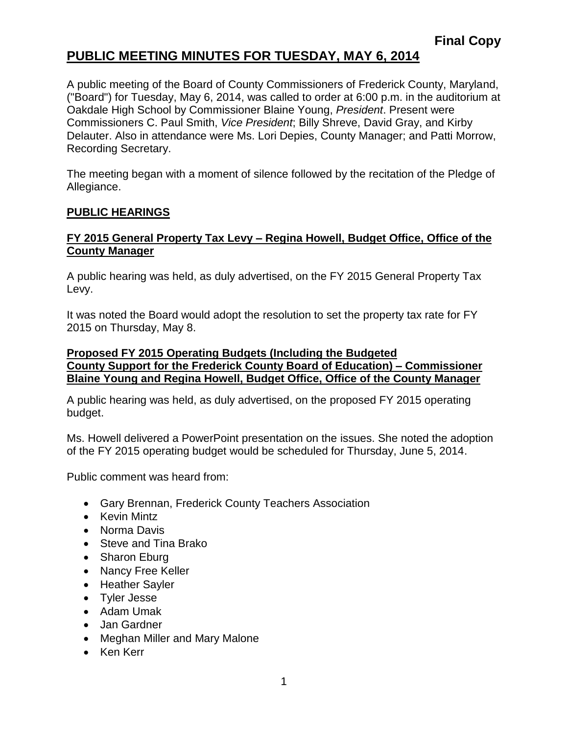## **PUBLIC MEETING MINUTES FOR TUESDAY, MAY 6, 2014**

A public meeting of the Board of County Commissioners of Frederick County, Maryland, ("Board") for Tuesday, May 6, 2014, was called to order at 6:00 p.m. in the auditorium at Oakdale High School by Commissioner Blaine Young, *President*. Present were Commissioners C. Paul Smith, *Vice President*; Billy Shreve, David Gray, and Kirby Delauter. Also in attendance were Ms. Lori Depies, County Manager; and Patti Morrow, Recording Secretary.

The meeting began with a moment of silence followed by the recitation of the Pledge of Allegiance.

#### **PUBLIC HEARINGS**

#### **FY 2015 General Property Tax Levy – Regina Howell, Budget Office, Office of the County Manager**

A public hearing was held, as duly advertised, on the FY 2015 General Property Tax Levy.

It was noted the Board would adopt the resolution to set the property tax rate for FY 2015 on Thursday, May 8.

#### **Proposed FY 2015 Operating Budgets (Including the Budgeted County Support for the Frederick County Board of Education) – Commissioner Blaine Young and Regina Howell, Budget Office, Office of the County Manager**

A public hearing was held, as duly advertised, on the proposed FY 2015 operating budget.

Ms. Howell delivered a PowerPoint presentation on the issues. She noted the adoption of the FY 2015 operating budget would be scheduled for Thursday, June 5, 2014.

Public comment was heard from:

- Gary Brennan, Frederick County Teachers Association
- Kevin Mintz
- Norma Davis
- Steve and Tina Brako
- Sharon Eburg
- Nancy Free Keller
- Heather Sayler
- Tyler Jesse
- Adam Umak
- Jan Gardner
- Meghan Miller and Mary Malone
- Ken Kerr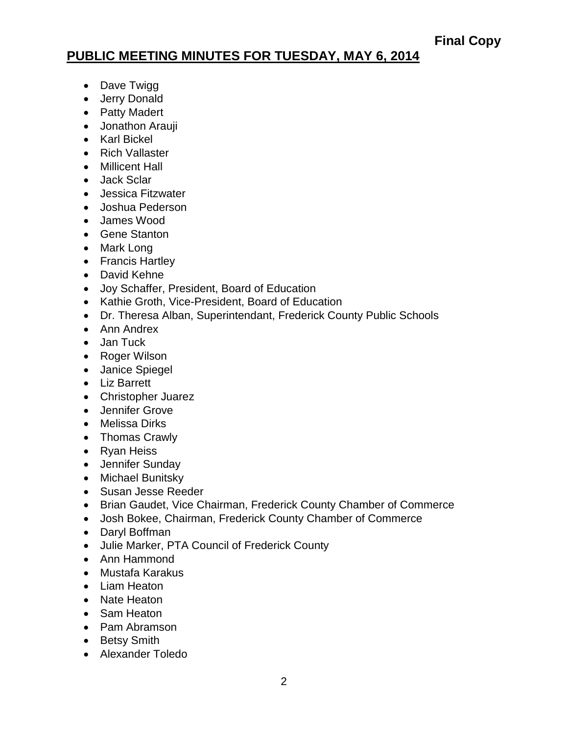# **PUBLIC MEETING MINUTES FOR TUESDAY, MAY 6, 2014**

- Dave Twigg
- Jerry Donald
- Patty Madert
- Jonathon Arauji
- Karl Bickel
- Rich Vallaster
- Millicent Hall
- Jack Sclar
- Jessica Fitzwater
- Joshua Pederson
- James Wood
- Gene Stanton
- Mark Long
- Francis Hartley
- David Kehne
- Joy Schaffer, President, Board of Education
- Kathie Groth, Vice-President, Board of Education
- Dr. Theresa Alban, Superintendant, Frederick County Public Schools
- Ann Andrex
- Jan Tuck
- Roger Wilson
- Janice Spiegel
- Liz Barrett
- Christopher Juarez
- Jennifer Grove
- Melissa Dirks
- Thomas Crawly
- Ryan Heiss
- Jennifer Sunday
- Michael Bunitsky
- Susan Jesse Reeder
- Brian Gaudet, Vice Chairman, Frederick County Chamber of Commerce
- Josh Bokee, Chairman, Frederick County Chamber of Commerce
- Daryl Boffman
- Julie Marker, PTA Council of Frederick County
- Ann Hammond
- Mustafa Karakus
- Liam Heaton
- Nate Heaton
- Sam Heaton
- Pam Abramson
- Betsy Smith
- Alexander Toledo